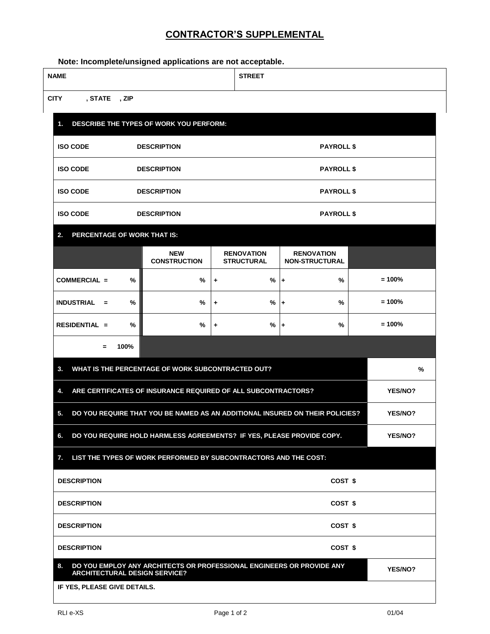## **CONTRACTOR'S SUPPLEMENTAL**

**Note: Incomplete/unsigned applications are not acceptable.**

| <b>NAME</b>                                |                    |                                                                              |   | <b>STREET</b>                          |                                            |  |          |
|--------------------------------------------|--------------------|------------------------------------------------------------------------------|---|----------------------------------------|--------------------------------------------|--|----------|
| <b>CITY</b><br>, STATE, ZIP                |                    |                                                                              |   |                                        |                                            |  |          |
| 1.                                         |                    | DESCRIBE THE TYPES OF WORK YOU PERFORM:                                      |   |                                        |                                            |  |          |
| <b>ISO CODE</b>                            | <b>DESCRIPTION</b> |                                                                              |   | <b>PAYROLL \$</b>                      |                                            |  |          |
| <b>ISO CODE</b>                            | <b>DESCRIPTION</b> |                                                                              |   | <b>PAYROLL \$</b>                      |                                            |  |          |
| <b>ISO CODE</b>                            | <b>DESCRIPTION</b> |                                                                              |   | <b>PAYROLL \$</b>                      |                                            |  |          |
| <b>ISO CODE</b>                            |                    | <b>DESCRIPTION</b>                                                           |   | <b>PAYROLL \$</b>                      |                                            |  |          |
| PERCENTAGE OF WORK THAT IS:<br>2.          |                    |                                                                              |   |                                        |                                            |  |          |
|                                            |                    | <b>NEW</b><br><b>CONSTRUCTION</b>                                            |   | <b>RENOVATION</b><br><b>STRUCTURAL</b> | <b>RENOVATION</b><br><b>NON-STRUCTURAL</b> |  |          |
| COMMERCIAL =                               | %                  | %                                                                            | ٠ | %                                      | %<br>$\ddot{}$                             |  | $= 100%$ |
| <b>INDUSTRIAL</b><br>$=$                   | %                  | %                                                                            | ٠ | %                                      | %<br>٠                                     |  | $= 100%$ |
|                                            |                    |                                                                              |   |                                        |                                            |  |          |
| <b>RESIDENTIAL =</b>                       | %                  | %                                                                            | ٠ | $\%$                                   | %<br>$\ddot{}$                             |  | $= 100%$ |
| $=$                                        | 100%               |                                                                              |   |                                        |                                            |  |          |
| 3.                                         |                    | WHAT IS THE PERCENTAGE OF WORK SUBCONTRACTED OUT?                            |   |                                        |                                            |  | %        |
| 4.                                         |                    | ARE CERTIFICATES OF INSURANCE REQUIRED OF ALL SUBCONTRACTORS?                |   |                                        |                                            |  | YES/NO?  |
| 5.                                         |                    | DO YOU REQUIRE THAT YOU BE NAMED AS AN ADDITIONAL INSURED ON THEIR POLICIES? |   |                                        |                                            |  | YES/NO?  |
| 6.                                         |                    | DO YOU REQUIRE HOLD HARMLESS AGREEMENTS? IF YES, PLEASE PROVIDE COPY.        |   |                                        |                                            |  | YES/NO?  |
| 7.                                         |                    | LIST THE TYPES OF WORK PERFORMED BY SUBCONTRACTORS AND THE COST:             |   |                                        |                                            |  |          |
| <b>DESCRIPTION</b>                         |                    |                                                                              |   |                                        | COST <sub>\$</sub>                         |  |          |
| <b>DESCRIPTION</b>                         |                    |                                                                              |   |                                        | COST \$                                    |  |          |
| <b>DESCRIPTION</b>                         |                    |                                                                              |   |                                        | COST \$                                    |  |          |
| <b>DESCRIPTION</b>                         |                    |                                                                              |   |                                        | COST \$                                    |  |          |
| 8.<br><b>ARCHITECTURAL DESIGN SERVICE?</b> |                    | DO YOU EMPLOY ANY ARCHITECTS OR PROFESSIONAL ENGINEERS OR PROVIDE ANY        |   |                                        |                                            |  | YES/NO?  |